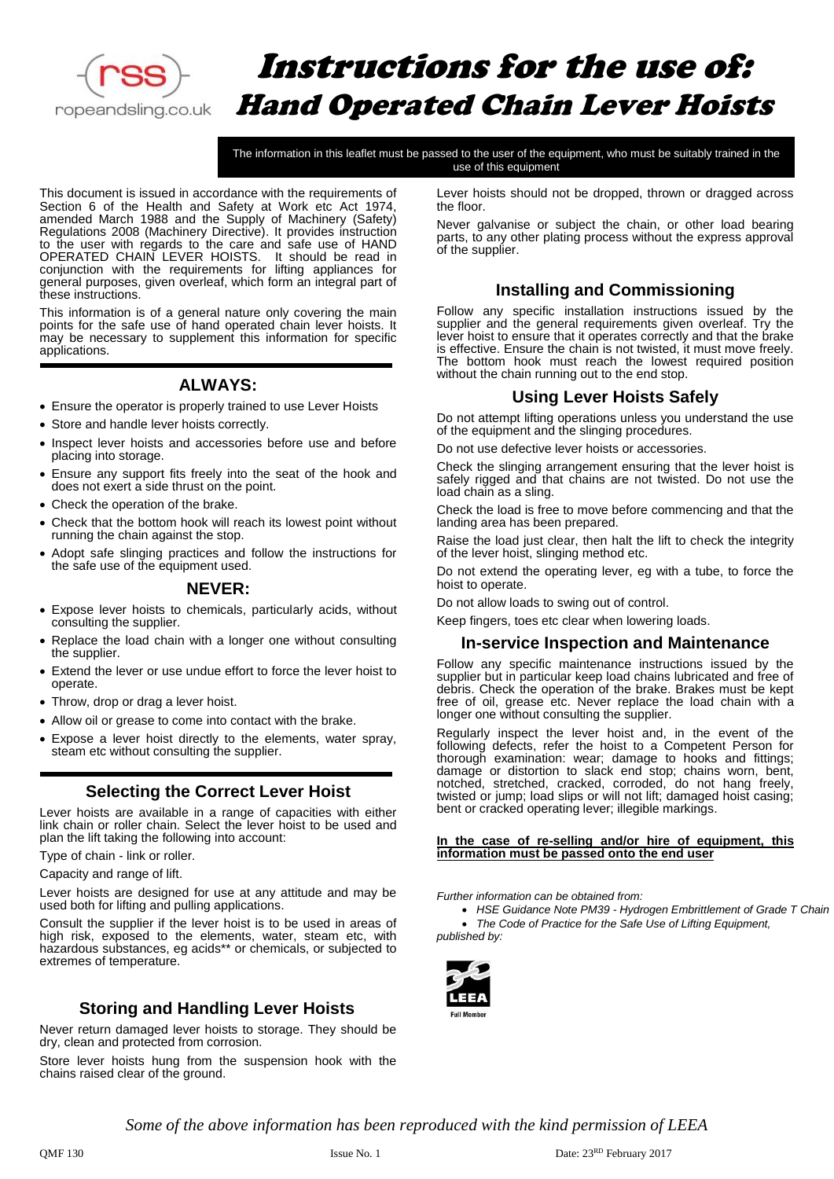

# Instructions for the use of: Hand Operated Chain Lever Hoists

The information in this leaflet must be passed to the user of the equipment, who must be suitably trained in the use of this equipment

This document is issued in accordance with the requirements of Section 6 of the Health and Safety at Work etc Act 1974, amended March 1988 and the Supply of Machinery (Safety) Regulations 2008 (Machinery Directive). It provides instruction to the user with regards to the care and safe use of HAND OPERATED CHAIN LEVER HOISTS. It should be read in conjunction with the requirements for lifting appliances for general purposes, given overleaf, which form an integral part of these instructions.

This information is of a general nature only covering the main points for the safe use of hand operated chain lever hoists. It may be necessary to supplement this information for specific applications.

### **ALWAYS:**

- Ensure the operator is properly trained to use Lever Hoists
- Store and handle lever hoists correctly.
- Inspect lever hoists and accessories before use and before placing into storage.
- Ensure any support fits freely into the seat of the hook and does not exert a side thrust on the point.
- Check the operation of the brake.
- Check that the bottom hook will reach its lowest point without running the chain against the stop.
- Adopt safe slinging practices and follow the instructions for the safe use of the equipment used.

#### **NEVER:**

- Expose lever hoists to chemicals, particularly acids, without consulting the supplier.
- Replace the load chain with a longer one without consulting the supplier.
- Extend the lever or use undue effort to force the lever hoist to operate.
- Throw, drop or drag a lever hoist.
- Allow oil or grease to come into contact with the brake.
- Expose a lever hoist directly to the elements, water spray, steam etc without consulting the supplier.

#### **Selecting the Correct Lever Hoist**

Lever hoists are available in a range of capacities with either link chain or roller chain. Select the lever hoist to be used and plan the lift taking the following into account:

Type of chain - link or roller.

Capacity and range of lift.

Lever hoists are designed for use at any attitude and may be used both for lifting and pulling applications.

Consult the supplier if the lever hoist is to be used in areas of high risk, exposed to the elements, water, steam etc, with hazardous substances, eg acids\*\* or chemicals, or subjected to extremes of temperature.

#### **Storing and Handling Lever Hoists**

Never return damaged lever hoists to storage. They should be dry, clean and protected from corrosion.

Store lever hoists hung from the suspension hook with the chains raised clear of the ground.

Lever hoists should not be dropped, thrown or dragged across the floor.

Never galvanise or subject the chain, or other load bearing parts, to any other plating process without the express approval of the supplier.

#### **Installing and Commissioning**

Follow any specific installation instructions issued by the supplier and the general requirements given overleaf. Try the lever hoist to ensure that it operates correctly and that the brake is effective. Ensure the chain is not twisted, it must move freely. The bottom hook must reach the lowest required position without the chain running out to the end stop.

#### **Using Lever Hoists Safely**

Do not attempt lifting operations unless you understand the use of the equipment and the slinging procedures.

Do not use defective lever hoists or accessories.

Check the slinging arrangement ensuring that the lever hoist is safely rigged and that chains are not twisted. Do not use the load chain as a sling.

Check the load is free to move before commencing and that the landing area has been prepared.

Raise the load just clear, then halt the lift to check the integrity of the lever hoist, slinging method etc.

Do not extend the operating lever, eg with a tube, to force the hoist to operate.

Do not allow loads to swing out of control.

Keep fingers, toes etc clear when lowering loads.

#### **In-service Inspection and Maintenance**

Follow any specific maintenance instructions issued by the supplier but in particular keep load chains lubricated and free of debris. Check the operation of the brake. Brakes must be kept free of oil, grease etc. Never replace the load chain with a longer one without consulting the supplier.

Regularly inspect the lever hoist and, in the event of the following defects, refer the hoist to a Competent Person for thorough examination: wear; damage to hooks and fittings; damage or distortion to slack end stop; chains worn, bent, notched, stretched, cracked, corroded, do not hang freely, twisted or jump; load slips or will not lift; damaged hoist casing; bent or cracked operating lever; illegible markings.

#### **In the case of re-selling and/or hire of equipment, this information must be passed onto the end user**

*Further information can be obtained from:*

• *HSE Guidance Note PM39 - Hydrogen Embrittlement of Grade T Chain*

• *The Code of Practice for the Safe Use of Lifting Equipment, published by:*



*Some of the above information has been reproduced with the kind permission of LEEA*